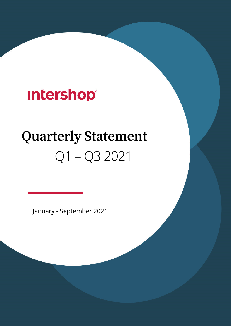## **Intershop®**

# **Quarterly Statement**  Q1 – Q3 2021

January - September 2021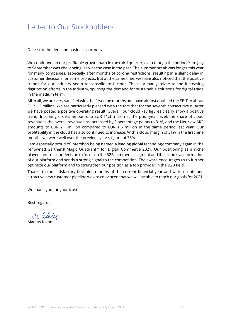Dear stockholders and business partners,

We continued on our profitable growth path in the third quarter, even though the period from July to September was challenging, as was the case in the past. The summer break was longer this year for many companies, especially after months of corona restrictions, resulting in a slight delay in customer decisions for some projects. But at the same time, we have also noticed that the positive trends for our industry seem to consolidate further. These primarily relate to the increasing digitization efforts in the industry, spurring the demand for sustainable solutions for digital trade in the medium term.

All in all, we are very satisfied with the first nine months and have almost doubled the EBIT to about EUR 1.2 million. We are particularly pleased with the fact that for the seventh consecutive quarter we have posted a positive operating result. Overall, our cloud key figures clearly show a positive trend: Incoming orders amounts to EUR 11.3 million at the prior-year level, the share of cloud revenue in the overall revenue has increased by 9 percentage points to 31%, and the Net New ARR amounts to EUR 2.1 million compared to EUR 1.6 million in the same period last year. Our profitability in the cloud has also continued to increase. With a cloud margin of 51% in the first nine months we were well over the previous year's figure of 38%.

I am especially proud of Intershop being named a leading global technology company again in the renowned Gartner® Magic Quadrant™ for Digital Commerce 2021. Our positioning as a niche player confirms our decision to focus on the B2B commerce segment and the cloud transformation of our platform and sends a strong signal to the competition. The award encourages us to further optimize our platform and to strengthen our position as a top provider in the B2B field.

Thanks to the satisfactory first nine months of the current financial year and with a continued attractive new customer pipeline we are convinced that we will be able to reach our goals for 2021.

We thank you for your trust.

Best regards,

M. *Www*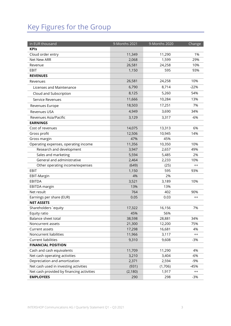### Key Figures for the Group

| in EUR thousand                           | 9-Months 2021 | 9-Months 2020 | Change  |
|-------------------------------------------|---------------|---------------|---------|
| <b>KPIs</b>                               |               |               |         |
| Cloud order entry                         | 11,349        | 11,290        | 1%      |
| Net New ARR                               | 2,068         | 1,599         | 29%     |
| Revenue                                   | 26,581        | 24,258        | 10%     |
| EBIT                                      | 1,150         | 595           | 93%     |
| <b>REVENUES</b>                           |               |               |         |
| Revenues                                  | 26,581        | 24,258        | 10%     |
| Licenses and Maintenance                  | 6,790         | 8,714         | $-22%$  |
| Cloud and Subscription                    | 8,125         | 5,260         | 54%     |
| Service Revenues                          | 11,666        | 10,284        | 13%     |
| Revenues Europe                           | 18,503        | 17,251        | 7%      |
| <b>Revenues USA</b>                       | 4,949         | 3,690         | 34%     |
| Revenues Asia/Pacific                     | 3,129         | 3,317         | $-6%$   |
| <b>EARNINGS</b>                           |               |               |         |
| Cost of revenues                          | 14,075        | 13,313        | 6%      |
| Gross profit                              | 12,506        | 10,945        | 14%     |
| Gross margin                              | 47%           | 45%           |         |
| Operating expenses, operating income      | 11,356        | 10,350        | 10%     |
| Research and development                  | 3,947         | 2,657         | 49%     |
| Sales and marketing                       | 5,594         | 5,485         | 2%      |
| General and administrative                | 2,464         | 2,233         | 10%     |
| Other operating income/expenses           | (649)         | (25)          | $++$    |
| EBIT                                      | 1,150         | 595           | 93%     |
| EBIT-Margin                               | 4%            | 2%            |         |
| <b>EBITDA</b>                             | 3,521         | 3,189         | 10%     |
| <b>EBITDA</b> margin                      | 13%           | 13%           |         |
| Net result                                | 764           | 402           | 90%     |
| Earnings per share (EUR)                  | 0.05          | 0.03          | $^{++}$ |
| <b>NET ASSETS</b>                         |               |               |         |
| Shareholders' equity                      | 17,322        | 16,156        | 7%      |
| Equity ratio                              | 45%           | 56%           |         |
| Balance sheet total                       | 38,598        | 28,881        | 34%     |
| Noncurrent assets                         | 21,300        | 12,200        | 75%     |
| Current assets                            | 17,298        | 16,681        | 4%      |
| Noncurrent liabilities                    | 11,966        | 3,117         | $^{++}$ |
| <b>Current liabilities</b>                | 9,310         | 9,608         | $-3%$   |
| <b>FINANCIAL POSITION</b>                 |               |               |         |
| Cash and cash equivalents                 | 11,709        | 11,290        | 4%      |
| Net cash operating activities             | 3,210         | 3,404         | $-6%$   |
| Depreciation and amortization             | 2,371         | 2,594         | $-9%$   |
| Net cash used in investing activities     | (931)         | (1,706)       | $-45%$  |
| Net cash provided by financing activities | (2, 180)      | 1,917         | $++$    |
| <b>EMPLOYEES</b>                          | 290           | 298           | $-3%$   |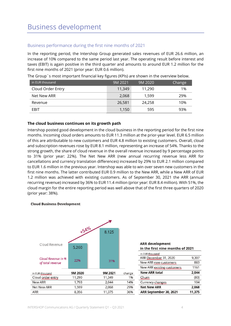#### Business performance during the first nine months of 2021

In the reporting period, the Intershop Group generated sales revenues of EUR 26.6 million, an increase of 10% compared to the same period last year. The operating result before interest and taxes (EBIT) is again positive in the third quarter and amounts to around EUR 1.2 million for the first nine months of 2021 (prior year: EUR 0.6 million).

| in EUR thousand   | 9M 2021 | 9M 2020 | Change |
|-------------------|---------|---------|--------|
| Cloud Order Entry | 11,349  | 11,290  | 1%     |
| Net New ARR       | 2,068   | 1.599   | 29%    |
| Revenue           | 26,581  | 24.258  | 10%    |
| EBIT              | 1,150   | 595     | 93%    |

The Group´s most important financial key figures (KPIs) are shown in the overview below.

#### **The cloud business continues on its growth path**

Intershop posted good development in the cloud business in the reporting period for the first nine months. Incoming cloud orders amounts to EUR 11.3 million at the prior-year level. EUR 6.5 million of this are attributable to new customers and EUR 4.8 million to existing customers. Overall, cloud and subscription revenues rose by EUR 8.1 million, representing an increase of 54%. Thanks to the strong growth, the share of cloud revenue in the overall revenue increased by 9 percentage points to 31% (prior year: 22%). The Net New ARR (new annual recurring revenue less ARR for cancellations and currency translation differences) increased by 29% to EUR 2.1 million compared to EUR 1.6 million in the previous year. Intershop was able to win over seven new customers in the first nine months. The latter contributed EUR 0.9 million to the New ARR, while a New ARR of EUR 1.2 million was achieved with existing customers. As of September 30, 2021 the ARR (annual recurring revenue) increased by 36% to EUR 11.4 million (prior year: EUR 8.4 million). With 51%, the cloud margin for the entire reporting period was well above that of the first three quarters of 2020 (prior year: 38%).

#### **Cloud Business Development**



#### **ARR** development in the first nine months of 2021

| ARR September 30, 2021     | 11.375 |
|----------------------------|--------|
| <b>Net New ARR</b>         | 2,068  |
| Currency changes           | 104    |
| Churn                      | (80)   |
| <b>New ARR total</b>       | 2.044  |
| New ARR existing customers | 1161   |
| New ARR new customers      | 883    |
| ARR December 31, 2020      | 9,307  |
| in EUR thousand            |        |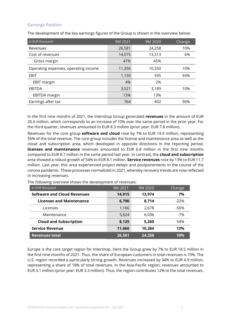#### Earnings Position

The development of the key earnings figures of the Group is shown in the overview below:

| in EUR thousand                      | 9M 2021 | 9M 2020 | Change |
|--------------------------------------|---------|---------|--------|
| Revenues                             | 26,581  | 24,258  | 10%    |
| Cost of revenues                     | 14,075  | 13,313  | 6%     |
| Gross margin                         | 47%     | 45%     |        |
| Operating expenses, operating income | 11,356  | 10,350  | 10%    |
| <b>EBIT</b>                          | 1,150   | 595     | 93%    |
| <b>EBIT margin</b>                   | 4%      | 2%      |        |
| EBITDA                               | 3,521   | 3,189   | 10%    |
| EBITDA margin                        | 13%     | 13%     |        |
| Earnings after tax                   | 764     | 402     | 90%    |

In the first nine months of 2021, the Intershop Group generated **revenues** in the amount of EUR 26.6 million, which corresponds to an increase of 10% over the same period in the prior year. For the third quarter, revenues amounted to EUR 8.3 million (prior year: EUR 7.8 million).

Revenues for the core group **software and cloud** rose by 7% to EUR 14.9 million, representing 56% of the total revenue. The core group includes the license and maintenance area as well as the cloud and subscription area, which developed in opposite directions in the reporting period. **licenses and maintenance** revenues amounted to EUR 6.8 million in the first nine months compared to EUR 8.7 million in the same period last year. In contrast, the **cloud and subscription**  area showed a robust growth of 54% to EUR 8.1 million. **Service revenues** rose by 13% to EUR 11.7 million. Last year, this area experienced project delays and postponements in the course of the corona pandemic. These processes normalized in 2021, whereby recovery trends are now reflected in increasing revenues.

| In EUR thousand                    | 9M 2021 | 9M 2020 | Change |
|------------------------------------|---------|---------|--------|
| <b>Software and Cloud Revenues</b> | 14,915  | 13,974  | 7%     |
| <b>Licenses and Maintenance</b>    | 6,790   | 8,714   | $-22%$ |
| Licenses                           | 1,166   | 2,678   | -56%   |
| Maintenance                        | 5,624   | 6,036   | -7%    |
| <b>Cloud and Subscription</b>      | 8,125   | 5,260   | 54%    |
| <b>Service Revenue</b>             | 11,666  | 10,284  | 13%    |
| <b>Revenues total</b>              | 26,581  | 24,258  | 10%    |

The following overview shows the development of revenues:

Europe is the core target region for Intershop. Here the Group grew by 7% to EUR 18.5 million in the first nine months of 2021. Thus, the share of European customers in total revenues is 70%. The U.S. region recorded a particularly strong growth. Revenues increased by 34% to EUR 4.9 million, representing a share of 18% of total revenues. In the Asia-Pacific region, revenues amounted to EUR 3.1 million (prior year: EUR 3.3 million). Thus, the region contributes 12% to the total revenues.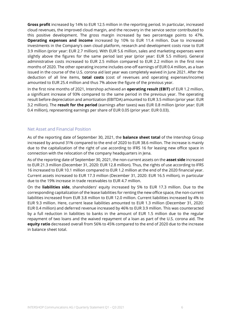**Gross profit** increased by 14% to EUR 12.5 million in the reporting period. In particular, increased cloud revenues, the improved cloud margin, and the recovery in the service sector contributed to this positive development. The gross margin increased by two percentage points to 47%. **Operating expenses and income** increased by 10% to EUR 11.4 million. Due to increased investments in the Company's own cloud platform, research and development costs rose to EUR 3.9 million (prior year: EUR 2.7 million). With EUR 5.6 million, sales and marketing expenses were slightly above the figures for the same period last year (prior year: EUR 5.5 million). General administrative costs increased to EUR 2.5 million compared to EUR 2.2 million in the first nine months of 2020. The other operating income includes one-off earnings of EUR 0.4 million, as a loan issued in the course of the U.S. corona aid last year was completely waived in June 2021. After the deduction of all line items, **total costs** (cost of revenues and operating expenses/income) amounted to EUR 25.4 million and thus 7% above the figure of the previous year.

In the first nine months of 2021, Intershop achieved an **operating result (EBIT)** of EUR 1.2 million, a significant increase of 93% compared to the same period in the previous year. The operating result before depreciation and amortization (EBITDA) amounted to EUR 3.5 million (prior year: EUR 3.2 million). The **result for the period** (earnings after taxes) was EUR 0.8 million (prior year: EUR 0.4 million), representing earnings per share of EUR 0.05 (prior year: EUR 0.03).

#### Net Asset and Financial Position

As of the reporting date of September 30, 2021, the **balance sheet total** of the Intershop Group increased by around 31% compared to the end of 2020 to EUR 38.6 million. The increase is mainly due to the capitalization of the right of use according to IFRS 16 for leasing new office space in connection with the relocation of the company headquarters in Jena.

As of the reporting date of September 30, 2021, the non-current assets on the **asset side** increased to EUR 21.3 million (December 31, 2020: EUR 12.8 million). Thus, the rights of use according to IFRS 16 increased to EUR 10.1 million compared to EUR 1.2 million at the end of the 2020 financial year. Current assets increased to EUR 17.3 million (December 31, 2020: EUR 16.5 million), in particular due to the 19% increase in trade receivables to EUR 4.7 million.

On the **liabilities side**, shareholders' equity increased by 5% to EUR 17.3 million. Due to the corresponding capitalization of the lease liabilities for renting the new office space, the non-current liabilities increased from EUR 3.8 million to EUR 12.0 million. Current liabilities increased by 4% to EUR 9.3 million. Here, current lease liabilities amounted to EUR 1.3 million (December 31, 2020: EUR 0.4 million) and deferred revenue increased by 46% to EUR 3.9 million. This was counteracted by a full reduction in liabilities to banks in the amount of EUR 1.5 million due to the regular repayment of two loans and the waived repayment of a loan as part of the U.S. corona aid. The **equity ratio** decreased overall from 56% to 45% compared to the end of 2020 due to the increase in balance sheet total.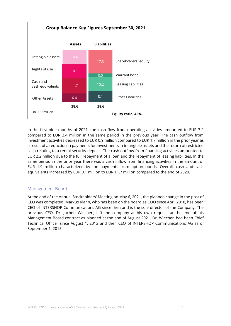

In the first nine months of 2021, the cash flow from operating activities amounted to EUR 3.2 compared to EUR 3.4 million in the same period in the previous year. The cash outflow from investment activities decreased to EUR 0.9 million compared to EUR 1.7 million in the prior year as a result of a reduction in payments for investments in intangible assets and the return of restricted cash relating to a rental security deposit. The cash outflow from financing activities amounted to EUR 2.2 million due to the full repayment of a loan and the repayment of leasing liabilities. In the same period in the prior year there was a cash inflow from financing activities in the amount of EUR 1.9 million characterized by the payments from option bonds. Overall, cash and cash equivalents increased by EUR 0.1 million to EUR 11.7 million compared to the end of 2020.

#### Management Board

At the end of the Annual Stockholders' Meeting on May 6, 2021, the planned change in the post of CEO was completed. Markus Klahn, who has been on the board as COO since April 2018, has been CEO of INTERSHOP Communications AG since then and is the sole director of the Company. The previous CEO, Dr. Jochen Wiechen, left the company at his own request at the end of his Management Board contract as planned at the end of August 2021. Dr. Wiechen had been Chief Technical Officer since August 1, 2013 and then CEO of INTERSHOP Communications AG as of September 1, 2015.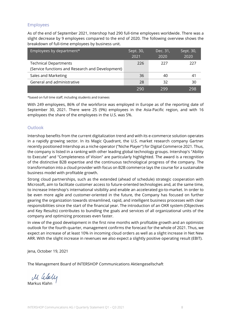#### Employees

As of the end of September 2021, Intershop had 290 full-time employees worldwide. There was a slight decrease by 9 employees compared to the end of 2020. The following overview shows the breakdown of full-time employees by business unit.

| Employees by department*                         | Sept. 30,<br>2021 | Dec. 31,<br>2020 | Sept. 30,<br>2020 |
|--------------------------------------------------|-------------------|------------------|-------------------|
| <b>Technical Departments</b>                     | 226               | 227              | 227               |
| (Service functions and Research and Development) |                   |                  |                   |
| Sales and Marketing                              | 36                | 40               | 41                |
| General and administrative                       | 28                | 32               | 30                |
|                                                  | 290               | 299              | 298               |

\*based on full time staff, including students and trainees

With 249 employees, 86% of the workforce was employed in Europe as of the reporting date of September 30, 2021. There were 25 (9%) employees in the Asia-Pacific region, and with 16 employees the share of the employees in the U.S. was 5%.

#### **Outlook**

Intershop benefits from the current digitalization trend and with its e-commerce solution operates in a rapidly growing sector. In its Magic Quadrant, the U.S. market research company Gartner recently positioned Intershop as a niche operator ("Niche Player") for Digital Commerce 2021. Thus, the company is listed in a ranking with other leading global technology groups. Intershop's "Ability to Execute" and "Completeness of Vision" are particularly highlighted. The award is a recognition of the distinctive B2B expertise and the continuous technological progress of the company. The transformation into a cloud provider with focus on B2B commerce lays the course for a sustainable business model with profitable growth.

Strong cloud partnerships, such as the extended (ahead of schedule) strategic cooperation with Microsoft, aim to facilitate customer access to future-oriented technologies and, at the same time, to increase Intershop's international visibility and enable an accelerated go-to-market. In order to be even more agile and customer-oriented in the future, the Company has focused on further gearing the organization towards streamlined, rapid, and intelligent business processes with clear responsibilities since the start of the financial year. The introduction of an OKR system (Objectives and Key Results) contributes to bundling the goals and services of all organizational units of the company and optimizing processes even faster.

In view of the good development in the first nine months with profitable growth and an optimistic outlook for the fourth quarter, management confirms the forecast for the whole of 2021. Thus, we expect an increase of at least 10% in incoming cloud orders as well as a slight increase in Net New ARR. With the slight increase in revenues we also expect a slightly positive operating result (EBIT).

Jena, October 19, 2021

The Management Board of INTERSHOP Communications Aktiengesellschaft

Markus Klahn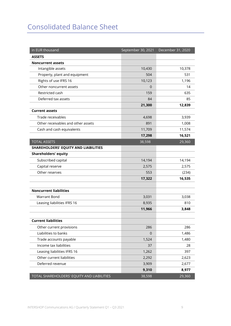### Consolidated Balance Sheet

| in EUR thousand                            | September 30, 2021 | December 31, 2020 |
|--------------------------------------------|--------------------|-------------------|
| <b>ASSETS</b>                              |                    |                   |
| <b>Noncurrent assets</b>                   |                    |                   |
| Intangible assets                          | 10,430             | 10,378            |
| Property, plant and equipment              | 504                | 531               |
| Rights of use IFRS 16                      | 10,123             | 1,196             |
| Other noncurrent assets                    | $\Omega$           | 14                |
| Restricted cash                            | 159                | 635               |
| Deferred tax assets                        | 84                 | 85                |
|                                            | 21,300             | 12,839            |
| <b>Current assets</b>                      |                    |                   |
| Trade receivables                          | 4,698              | 3,939             |
| Other receivables and other assets         | 891                | 1,008             |
| Cash and cash equivalents                  | 11,709             | 11,574            |
|                                            | 17,298             | 16,521            |
| <b>TOTAL ASSETS</b>                        | 38,598             | 29,360            |
| SHAREHOLDERS' EQUITY AND LIABILITIES       |                    |                   |
| <b>Shareholders' equity</b>                |                    |                   |
| Subscribed capital                         | 14,194             | 14,194            |
| Capital reserve                            | 2,575              | 2,575             |
| Other reserves                             | 553                | (234)             |
|                                            | 17,322             | 16,535            |
| <b>Noncurrent liabilities</b>              |                    |                   |
| <b>Warrant Bond</b>                        | 3,031              | 3,038             |
| Leasing liabilities IFRS 16                | 8,935              | 810               |
|                                            | 11,966             | 3,848             |
| <b>Current liabilities</b>                 |                    |                   |
| Other current provisions                   | 286                | 286               |
| Liabilities to banks                       | $\Omega$           | 1,486             |
| Trade accounts payable                     | 1,524              | 1,480             |
| Income tax liabilities                     | 37                 | 28                |
| Leasing liabilities IFRS 16                | 1,262              | 397               |
| Other current liabilities                  | 2,292              | 2,623             |
| Deferred revenue                           | 3,909              | 2,677             |
|                                            | 9,310              | 8,977             |
| TOTAL SHAREHOLDERS' EQUITY AND LIABILITIES | 38,598             | 29,360            |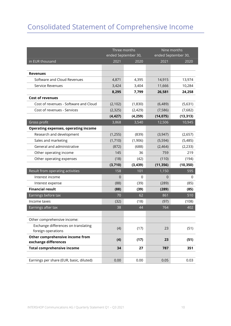### Consolidated Statement of Comprehensive Income

|                                             | Three months |                     | Nine months |                     |
|---------------------------------------------|--------------|---------------------|-------------|---------------------|
|                                             |              | ended September 30, |             | ended September 30, |
| in EUR thousand                             | 2021         | 2020                | 2021        | 2020                |
|                                             |              |                     |             |                     |
| <b>Revenues</b>                             |              |                     |             |                     |
| Software and Cloud Revenues                 | 4,871        | 4,395               | 14,915      | 13,974              |
| Service Revenues                            | 3,424        | 3,404               | 11,666      | 10,284              |
|                                             | 8,295        | 7,799               | 26,581      | 24,258              |
| <b>Cost of revenues</b>                     |              |                     |             |                     |
| Cost of revenues - Software and Cloud       | (2, 102)     | (1,830)             | (6,489)     | (5,631)             |
| Cost of revenues - Services                 | (2, 325)     | (2,429)             | (7, 586)    | (7,682)             |
|                                             | (4, 427)     | (4, 259)            | (14, 075)   | (13, 313)           |
| Gross profit                                | 3,868        | 3,540               | 12,506      | 10,945              |
| <b>Operating expenses, operating income</b> |              |                     |             |                     |
| Research and development                    | (1, 255)     | (839)               | (3, 947)    | (2,657)             |
| Sales and marketing                         | (1,710)      | (1,906)             | (5, 594)    | (5,485)             |
| General and administrative                  | (872)        | (688)               | (2,464)     | (2, 233)            |
| Other operating income                      | 145          | 36                  | 759         | 219                 |
| Other operating expenses                    | (18)         | (42)                | (110)       | (194)               |
|                                             | (3,710)      | (3, 439)            | (11, 356)   | (10, 350)           |
| Result from operating activities            | 158          | 101                 | 1,150       | 595                 |
| Interest income                             | 0            | $\Omega$            | 0           | 0                   |
| Interest expense                            | (88)         | (39)                | (289)       | (85)                |
| <b>Financial result</b>                     | (88)         | (39)                | (289)       | (85)                |
| Earnings before tax                         | 70           | 62                  | 861         | 510                 |
| Income taxes                                | (32)         | (18)                | (97)        | (108)               |
| Earnings after tax                          | 38           | 44                  | 764         | 402                 |
|                                             |              |                     |             |                     |
| Other comprehensive income:                 |              |                     |             |                     |
| Exchange differences on translating         | (4)          | (17)                | 23          | (51)                |
| foreign operations                          |              |                     |             |                     |
| Other comprehensive income from             | (4)          | (17)                | 23          | (51)                |
| exchange differences                        |              |                     |             |                     |
| <b>Total comprehensive income</b>           | 34           | 27                  | 787         | 351                 |
|                                             |              |                     |             |                     |
| Earnings per share (EUR, basic, diluted)    | 0.00         | 0.00                | 0.05        | 0.03                |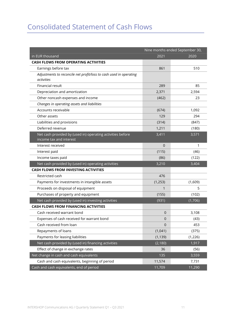### Consolidated Statement of Cash Flows

|                                                                                       | Nine months ended September 30, |          |  |
|---------------------------------------------------------------------------------------|---------------------------------|----------|--|
| in EUR thousand                                                                       | 2021                            | 2020     |  |
| <b>CASH FLOWS FROM OPERATING ACTIVITIES</b>                                           |                                 |          |  |
| Earnings before tax                                                                   | 861                             | 510      |  |
| Adjustments to reconcile net profit/loss to cash used in operating<br>activities      |                                 |          |  |
| Financial result                                                                      | 289                             | 85       |  |
| Depreciation and amortization                                                         | 2,371                           | 2,594    |  |
| Other noncash expenses and income                                                     |                                 | 23       |  |
| Changes in operating assets and liabilities                                           | (462)                           |          |  |
|                                                                                       |                                 |          |  |
| Accounts receivable                                                                   | (674)                           | 1,092    |  |
| Other assets                                                                          | 129                             | 294      |  |
| Liabilities and provisions                                                            | (314)                           | (847)    |  |
| Deferred revenue                                                                      | 1,211                           | (180)    |  |
| Net cash provided by (used in) operating activities before<br>income tax and interest | 3,411                           | 3,571    |  |
| Interest received                                                                     | $\overline{0}$                  | 1        |  |
| Interest paid                                                                         | (115)                           | (46)     |  |
| Income taxes paid                                                                     | (86)                            | (122)    |  |
| Net cash provided by (used in) operating activities                                   | 3,210                           | 3,404    |  |
| <b>CASH FLOWS FROM INVESTING ACTIVITIES</b>                                           |                                 |          |  |
| Restricted cash                                                                       | 476                             |          |  |
| Payments for investments in intangible assets                                         | (1, 253)                        | (1,609)  |  |
| Proceeds on disposal of equipment                                                     | 1                               | 5        |  |
| Purchases of property and equipment                                                   | (155)                           | (102)    |  |
| Net cash provided by (used in) investing activities                                   | (931)                           | (1,706)  |  |
| <b>CASH FLOWS FROM FINANCING ACTIVITIES</b>                                           |                                 |          |  |
| Cash received warrant bond                                                            | $\overline{0}$                  | 3,108    |  |
| Expenses of cash received for warrant bond                                            | $\mathbf 0$                     | (43)     |  |
| Cash received from loan                                                               | $\mathbf 0$                     | 453      |  |
| Repayments of loans                                                                   | (1,041)                         | (375)    |  |
| Payments for leasing liabilities                                                      | (1, 139)                        | (1, 226) |  |
| Net cash provided by (used in) financing activities                                   | (2, 180)                        | 1,917    |  |
| Effect of change in exchange rates                                                    | 36                              | (56)     |  |
| Net change in cash and cash equivalents                                               | 135                             | 3,559    |  |
| Cash and cash equivalents, beginning of period                                        | 11,574                          | 7,731    |  |
| Cash and cash equivalents, end of period                                              | 11,709                          | 11,290   |  |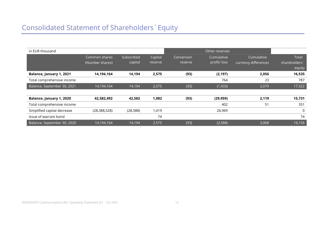| in EUR thousand             |                                  |                       |                    |                       | Other reserves             |                                    |                                              |
|-----------------------------|----------------------------------|-----------------------|--------------------|-----------------------|----------------------------|------------------------------------|----------------------------------------------|
|                             | Common shares<br>(Number shares) | Subscribed<br>capital | Capital<br>reserve | Conversion<br>reserve | Cumulative<br>profit/ loss | Cumulative<br>currency differences | Total<br>shareholders <sup>*</sup><br>equity |
| Balance, January 1, 2021    | 14,194,164                       | 14,194                | 2,575              | (93)                  | (2, 197)                   | 2,056                              | 16,535                                       |
| Total comprehensive income  |                                  |                       |                    |                       | 764                        | 23                                 | 787                                          |
| Balance, September 30, 2021 | 14,194,164                       | 14,194                | 2,575              | (93)                  | (1,433)                    | 2,079                              | 17,322                                       |
|                             |                                  |                       |                    |                       |                            |                                    |                                              |
| Balance, January 1, 2020    | 42,582,492                       | 42,582                | 1,082              | (93)                  | (29, 959)                  | 2,119                              | 15,731                                       |
| Total comprehensive income  |                                  |                       |                    |                       | 402                        | 51                                 | 351                                          |
| Simplified capital decrease | (28, 388, 328)                   | (28, 388)             | 1,419              |                       | 26,969                     |                                    | 0                                            |
| Issue of warrant bond       |                                  |                       | 74                 |                       |                            |                                    | 74                                           |
| Balance, September 30, 2020 | 14,194,164                       | 14,194                | 2,575              | (93)                  | (2,588)                    | 2,068                              | 16,156                                       |